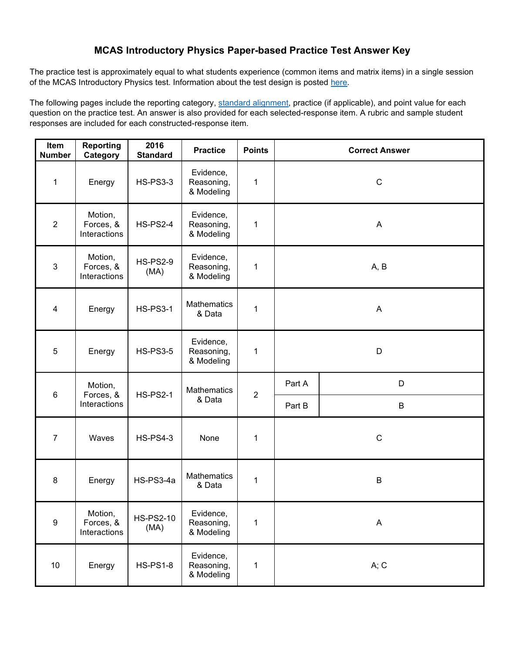### **MCAS Introductory Physics Paper-based Practice Test Answer Key**

of the MCAS Introductory Physics test. Information about the test design is posted <u>here</u>. The practice test is approximately equal to what students experience (common items and matrix items) in a single session

 question on the practice test. An answer is also provided for each selected-response item. A rubric and sample student The following pages include the reporting category, [standard alignment,](http://www.doe.mass.edu/frameworks/) practice (if applicable), and point value for each responses are included for each constructed-response item.

| Item<br><b>Number</b> | <b>Reporting</b><br>Category         | 2016<br><b>Standard</b>  | <b>Practice</b>                       | <b>Points</b>  | <b>Correct Answer</b> |             |  |
|-----------------------|--------------------------------------|--------------------------|---------------------------------------|----------------|-----------------------|-------------|--|
| $\mathbf{1}$          | Energy                               | <b>HS-PS3-3</b>          | Evidence,<br>Reasoning,<br>& Modeling | 1              | $\mathsf C$           |             |  |
| $\overline{2}$        | Motion,<br>Forces, &<br>Interactions | <b>HS-PS2-4</b>          | Evidence,<br>Reasoning,<br>& Modeling | 1              | $\mathsf{A}$          |             |  |
| $\mathbf{3}$          | Motion,<br>Forces, &<br>Interactions | <b>HS-PS2-9</b><br>(MA)  | Evidence,<br>Reasoning,<br>& Modeling | 1              | A, B                  |             |  |
| $\overline{4}$        | Energy                               | <b>HS-PS3-1</b>          | <b>Mathematics</b><br>& Data          | 1              | A                     |             |  |
| 5                     | Energy                               | <b>HS-PS3-5</b>          | Evidence,<br>Reasoning,<br>& Modeling | 1              | D                     |             |  |
| $\,6\,$               | Motion,<br>Forces, &                 | <b>HS-PS2-1</b>          | Mathematics                           | $\overline{2}$ | Part A                | D           |  |
|                       | Interactions                         |                          | & Data                                |                | Part B                | B           |  |
| $\overline{7}$        | Waves                                | <b>HS-PS4-3</b>          | None                                  | 1              |                       | $\mathsf C$ |  |
| 8                     | Energy                               | HS-PS3-4a                | <b>Mathematics</b><br>& Data          | $\mathbf{1}$   |                       | B           |  |
| $\boldsymbol{9}$      | Motion,<br>Forces, &<br>Interactions | <b>HS-PS2-10</b><br>(MA) | Evidence,<br>Reasoning,<br>& Modeling | 1              | A                     |             |  |
| $10\,$                | Energy                               | <b>HS-PS1-8</b>          | Evidence,<br>Reasoning,<br>& Modeling | 1              | A; C                  |             |  |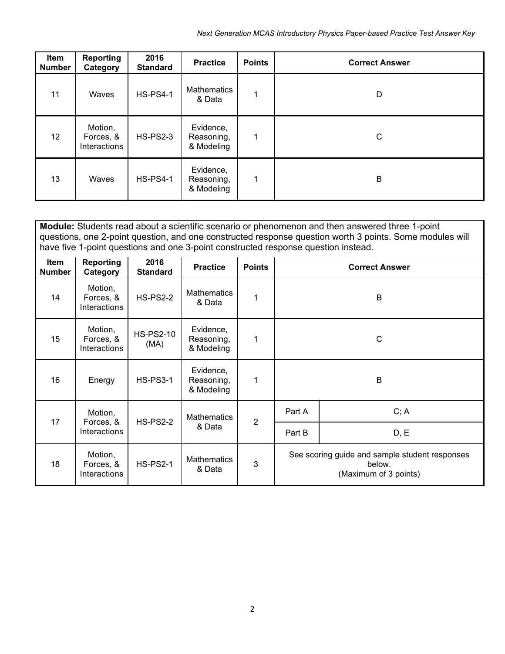| Item<br><b>Number</b> | <b>Reporting</b><br>Category         | 2016<br><b>Standard</b> | <b>Practice</b>                       | <b>Points</b> | <b>Correct Answer</b> |
|-----------------------|--------------------------------------|-------------------------|---------------------------------------|---------------|-----------------------|
| 11                    | Waves                                | <b>HS-PS4-1</b>         | <b>Mathematics</b><br>& Data          | 1             | D                     |
| 12                    | Motion,<br>Forces, &<br>Interactions | <b>HS-PS2-3</b>         | Evidence,<br>Reasoning,<br>& Modeling | 1             | C                     |
| 13                    | Waves                                | <b>HS-PS4-1</b>         | Evidence,<br>Reasoning,<br>& Modeling | 1             | B                     |

|                              | Module: Students read about a scientific scenario or phenomenon and then answered three 1-point<br>questions, one 2-point question, and one constructed response question worth 3 points. Some modules will<br>have five 1-point questions and one 3-point constructed response question instead. |                          |                                       |                |        |                                                                                   |  |  |
|------------------------------|---------------------------------------------------------------------------------------------------------------------------------------------------------------------------------------------------------------------------------------------------------------------------------------------------|--------------------------|---------------------------------------|----------------|--------|-----------------------------------------------------------------------------------|--|--|
| <b>Item</b><br><b>Number</b> | Reporting<br>2016<br><b>Practice</b><br><b>Points</b><br><b>Correct Answer</b><br><b>Standard</b><br>Category                                                                                                                                                                                     |                          |                                       |                |        |                                                                                   |  |  |
| 14                           | Motion,<br>Forces, &<br>Interactions                                                                                                                                                                                                                                                              | <b>HS-PS2-2</b>          | <b>Mathematics</b><br>& Data          | 1              |        | В                                                                                 |  |  |
| 15                           | Motion,<br>Forces, &<br>Interactions                                                                                                                                                                                                                                                              | <b>HS-PS2-10</b><br>(MA) | Evidence,<br>Reasoning,<br>& Modeling | 1              | C      |                                                                                   |  |  |
| 16                           | Energy                                                                                                                                                                                                                                                                                            | <b>HS-PS3-1</b>          | Evidence,<br>Reasoning,<br>& Modeling | 1              | B      |                                                                                   |  |  |
| 17                           | Motion,<br>Forces, &                                                                                                                                                                                                                                                                              |                          | <b>Mathematics</b><br>& Data          | $\overline{2}$ | Part A | C; A                                                                              |  |  |
|                              | Interactions                                                                                                                                                                                                                                                                                      | <b>HS-PS2-2</b>          |                                       |                | Part B | D, E                                                                              |  |  |
| 18                           | Motion,<br>Forces, &<br>Interactions                                                                                                                                                                                                                                                              | <b>HS-PS2-1</b>          | <b>Mathematics</b><br>& Data          | 3              |        | See scoring guide and sample student responses<br>below.<br>(Maximum of 3 points) |  |  |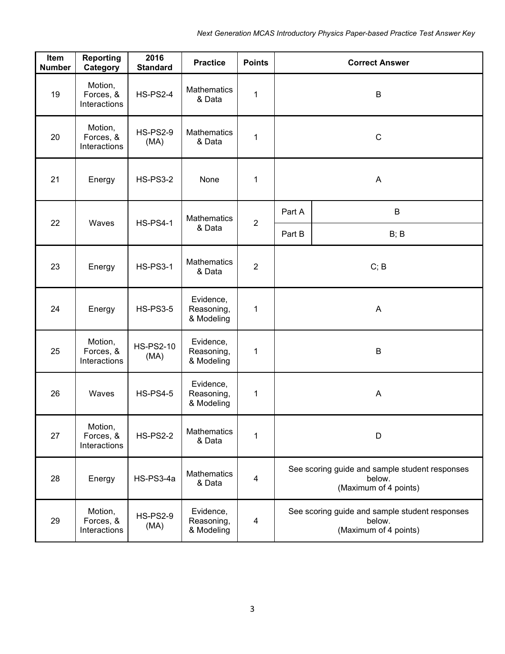| Item<br><b>Number</b> | <b>Reporting</b><br>Category         | 2016<br><b>Standard</b>  | <b>Practice</b>                       | <b>Points</b>  |              | <b>Correct Answer</b>                                                             |  |
|-----------------------|--------------------------------------|--------------------------|---------------------------------------|----------------|--------------|-----------------------------------------------------------------------------------|--|
| 19                    | Motion,<br>Forces, &<br>Interactions | <b>HS-PS2-4</b>          | <b>Mathematics</b><br>& Data          | 1              |              | B                                                                                 |  |
| 20                    | Motion,<br>Forces, &<br>Interactions | <b>HS-PS2-9</b><br>(MA)  | <b>Mathematics</b><br>& Data          | $\mathbf 1$    | $\mathsf{C}$ |                                                                                   |  |
| 21                    | Energy                               | <b>HS-PS3-2</b>          | None                                  | 1              |              | $\boldsymbol{\mathsf{A}}$                                                         |  |
| 22                    | Waves                                | <b>HS-PS4-1</b>          | <b>Mathematics</b>                    |                | Part A       | B                                                                                 |  |
|                       |                                      |                          | & Data                                | $\overline{2}$ | Part B       | B; B                                                                              |  |
| 23                    | Energy                               | <b>HS-PS3-1</b>          | <b>Mathematics</b><br>& Data          | $\overline{2}$ |              | C; B                                                                              |  |
| 24                    | Energy                               | <b>HS-PS3-5</b>          | Evidence,<br>Reasoning,<br>& Modeling | 1              |              | A                                                                                 |  |
| 25                    | Motion,<br>Forces, &<br>Interactions | <b>HS-PS2-10</b><br>(MA) | Evidence,<br>Reasoning,<br>& Modeling | 1              | B            |                                                                                   |  |
| 26                    | Waves                                | <b>HS-PS4-5</b>          | Evidence,<br>Reasoning,<br>& Modeling | 1              |              | A                                                                                 |  |
| 27                    | Motion,<br>Forces, &<br>Interactions | <b>HS-PS2-2</b>          | Mathematics<br>& Data                 | 1              |              | D                                                                                 |  |
| 28                    | Energy                               | HS-PS3-4a                | <b>Mathematics</b><br>& Data          | $\overline{4}$ |              | See scoring guide and sample student responses<br>below.<br>(Maximum of 4 points) |  |
| 29                    | Motion,<br>Forces, &<br>Interactions | <b>HS-PS2-9</b><br>(MA)  | Evidence,<br>Reasoning,<br>& Modeling | 4              |              | See scoring guide and sample student responses<br>below.<br>(Maximum of 4 points) |  |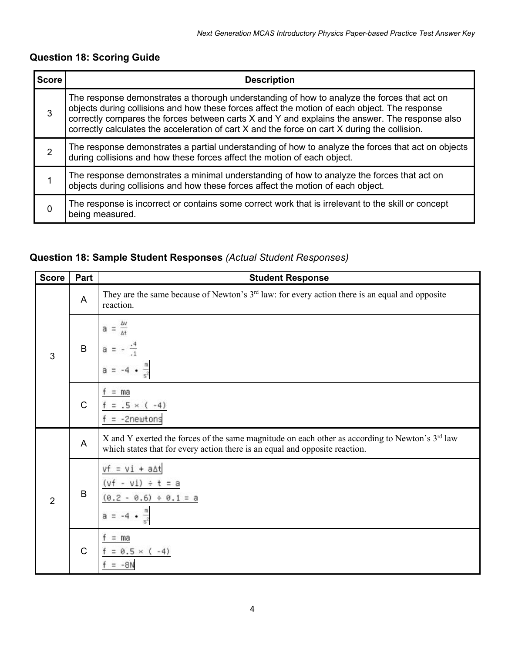# **Question 18: Scoring Guide**

| <b>Score</b> | <b>Description</b>                                                                                                                                                                                                                                                                                                                                                                              |
|--------------|-------------------------------------------------------------------------------------------------------------------------------------------------------------------------------------------------------------------------------------------------------------------------------------------------------------------------------------------------------------------------------------------------|
| 3            | The response demonstrates a thorough understanding of how to analyze the forces that act on<br>objects during collisions and how these forces affect the motion of each object. The response<br>correctly compares the forces between carts X and Y and explains the answer. The response also<br>correctly calculates the acceleration of cart X and the force on cart X during the collision. |
| 2            | The response demonstrates a partial understanding of how to analyze the forces that act on objects<br>during collisions and how these forces affect the motion of each object.                                                                                                                                                                                                                  |
|              | The response demonstrates a minimal understanding of how to analyze the forces that act on<br>objects during collisions and how these forces affect the motion of each object.                                                                                                                                                                                                                  |
| 0            | The response is incorrect or contains some correct work that is irrelevant to the skill or concept<br>being measured.                                                                                                                                                                                                                                                                           |

# **Question 18: Sample Student Responses** *(Actual Student Responses)*

| <b>Score</b>   | Part         | <b>Student Response</b>                                                                                                                                                                    |
|----------------|--------------|--------------------------------------------------------------------------------------------------------------------------------------------------------------------------------------------|
| 3              | $\mathsf{A}$ | They are the same because of Newton's 3 <sup>rd</sup> law: for every action there is an equal and opposite<br>reaction.                                                                    |
|                | $\sf B$      | а                                                                                                                                                                                          |
|                | $\mathsf C$  | $=$ ma<br>$.5 \times$<br>$-41$<br>-2newtons                                                                                                                                                |
|                | $\mathsf{A}$ | X and Y exerted the forces of the same magnitude on each other as according to Newton's 3 <sup>rd</sup> law<br>which states that for every action there is an equal and opposite reaction. |
| $\overline{2}$ | $\sf B$      | $+$ a $\Delta t$<br>w<br>$(0.6) ÷ 0.1 = a$<br>10                                                                                                                                           |
|                | $\mathsf{C}$ | $=$ ma<br>$0.5 \times (-4)$<br>$-8N$                                                                                                                                                       |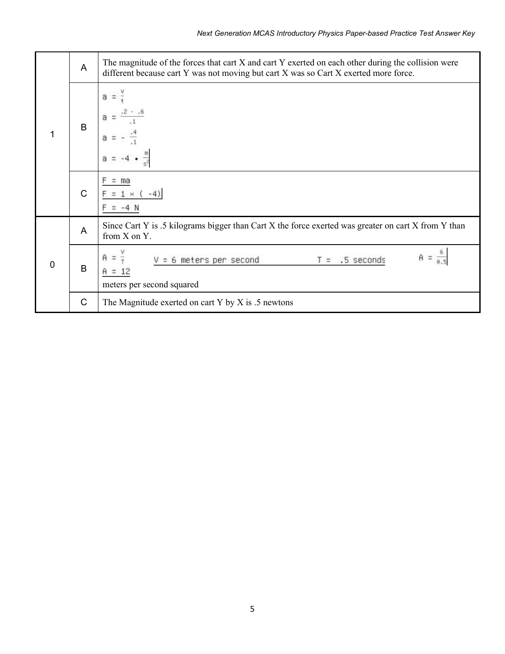| 1              | A            | The magnitude of the forces that cart X and cart Y exerted on each other during the collision were<br>different because cart Y was not moving but cart X was so Cart X exerted more force. |
|----------------|--------------|--------------------------------------------------------------------------------------------------------------------------------------------------------------------------------------------|
|                | B            | а                                                                                                                                                                                          |
|                | $\mathsf{C}$ | ma                                                                                                                                                                                         |
| $\overline{0}$ | A            | Since Cart Y is .5 kilograms bigger than Cart X the force exerted was greater on cart X from Y than<br>from X on Y.                                                                        |
|                | B            | $T = .5$ seconds<br>= 6 meters per second<br>meters per second squared                                                                                                                     |
|                | $\mathsf{C}$ | The Magnitude exerted on cart Y by X is $.5$ newtons                                                                                                                                       |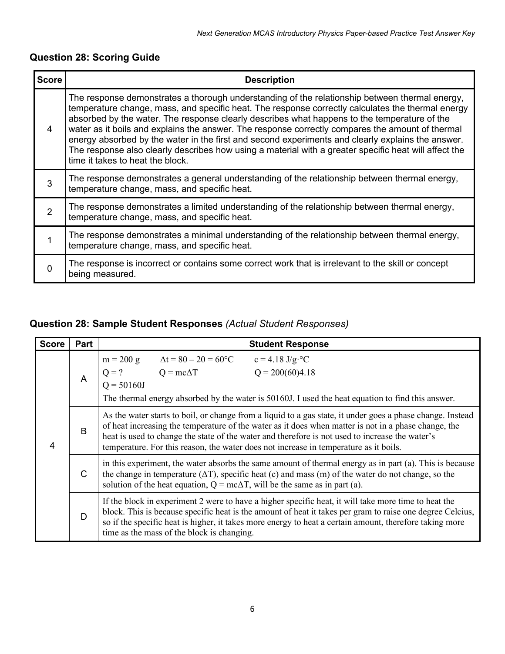| <b>Score</b>   | <b>Description</b>                                                                                                    |                                                                                                                                                                                                                                                                                                                                                                                                                                                                                                                                                                                                                                                           |  |  |  |  |  |
|----------------|-----------------------------------------------------------------------------------------------------------------------|-----------------------------------------------------------------------------------------------------------------------------------------------------------------------------------------------------------------------------------------------------------------------------------------------------------------------------------------------------------------------------------------------------------------------------------------------------------------------------------------------------------------------------------------------------------------------------------------------------------------------------------------------------------|--|--|--|--|--|
| 4              |                                                                                                                       | The response demonstrates a thorough understanding of the relationship between thermal energy,<br>temperature change, mass, and specific heat. The response correctly calculates the thermal energy<br>absorbed by the water. The response clearly describes what happens to the temperature of the<br>water as it boils and explains the answer. The response correctly compares the amount of thermal<br>energy absorbed by the water in the first and second experiments and clearly explains the answer.<br>The response also clearly describes how using a material with a greater specific heat will affect the<br>time it takes to heat the block. |  |  |  |  |  |
| 3              |                                                                                                                       | The response demonstrates a general understanding of the relationship between thermal energy,<br>temperature change, mass, and specific heat.                                                                                                                                                                                                                                                                                                                                                                                                                                                                                                             |  |  |  |  |  |
| $\overline{2}$ |                                                                                                                       | The response demonstrates a limited understanding of the relationship between thermal energy,<br>temperature change, mass, and specific heat.                                                                                                                                                                                                                                                                                                                                                                                                                                                                                                             |  |  |  |  |  |
| 1              |                                                                                                                       | The response demonstrates a minimal understanding of the relationship between thermal energy,<br>temperature change, mass, and specific heat.                                                                                                                                                                                                                                                                                                                                                                                                                                                                                                             |  |  |  |  |  |
| $\mathbf 0$    | The response is incorrect or contains some correct work that is irrelevant to the skill or concept<br>being measured. |                                                                                                                                                                                                                                                                                                                                                                                                                                                                                                                                                                                                                                                           |  |  |  |  |  |
|                |                                                                                                                       |                                                                                                                                                                                                                                                                                                                                                                                                                                                                                                                                                                                                                                                           |  |  |  |  |  |
|                |                                                                                                                       | Question 28: Sample Student Responses (Actual Student Responses)                                                                                                                                                                                                                                                                                                                                                                                                                                                                                                                                                                                          |  |  |  |  |  |
| <b>Score</b>   | Part                                                                                                                  | <b>Student Response</b>                                                                                                                                                                                                                                                                                                                                                                                                                                                                                                                                                                                                                                   |  |  |  |  |  |
|                | A                                                                                                                     | $\Delta t = 80 - 20 = 60^{\circ}C$<br>$m = 200 g$<br>$c = 4.18$ J/g <sup>o</sup> C<br>$Q = mc\Delta T$<br>$Q = 200(60)4.18$<br>$Q = ?$<br>$Q = 50160J$<br>The thermal energy absorbed by the water is 50160J. I used the heat equation to find this answer.                                                                                                                                                                                                                                                                                                                                                                                               |  |  |  |  |  |
| 4              | B                                                                                                                     | As the water starts to boil, or change from a liquid to a gas state, it under goes a phase change. Instead<br>of heat increasing the temperature of the water as it does when matter is not in a phase change, the<br>heat is used to change the state of the water and therefore is not used to increase the water's<br>temperature. For this reason, the water does not increase in temperature as it boils.                                                                                                                                                                                                                                            |  |  |  |  |  |
|                | C                                                                                                                     | in this experiment, the water absorbs the same amount of thermal energy as in part (a). This is because<br>the change in temperature $(\Delta T)$ , specific heat (c) and mass (m) of the water do not change, so the<br>solution of the heat equation, $Q = mc\Delta T$ , will be the same as in part (a).                                                                                                                                                                                                                                                                                                                                               |  |  |  |  |  |

# **Question 28: Scoring Guide**

# **Question 28: Sample Student Responses** *(Actual Student Responses)*

| <b>Score</b> | Part         |                                                                                                                                                                                                                                                                                                             |                                                                                                                                                                                                                                                                                                                                                                                                                | <b>Student Response</b>                                                                                                                                                                                                                                                                                                      |  |  |  |  |  |
|--------------|--------------|-------------------------------------------------------------------------------------------------------------------------------------------------------------------------------------------------------------------------------------------------------------------------------------------------------------|----------------------------------------------------------------------------------------------------------------------------------------------------------------------------------------------------------------------------------------------------------------------------------------------------------------------------------------------------------------------------------------------------------------|------------------------------------------------------------------------------------------------------------------------------------------------------------------------------------------------------------------------------------------------------------------------------------------------------------------------------|--|--|--|--|--|
|              | A            | $\Delta t = 80 - 20 = 60^{\circ}C$<br>$c = 4.18 \text{ J/g} \cdot {}^{\circ}C$<br>$m = 200 g$<br>$Q = ?$ $Q = mc\Delta T$ $Q = 200(60)4.18$<br>$Q = 50160J$<br>The thermal energy absorbed by the water is 50160J. I used the heat equation to find this answer.                                            |                                                                                                                                                                                                                                                                                                                                                                                                                |                                                                                                                                                                                                                                                                                                                              |  |  |  |  |  |
| 4            | B            |                                                                                                                                                                                                                                                                                                             | As the water starts to boil, or change from a liquid to a gas state, it under goes a phase change. Instead<br>of heat increasing the temperature of the water as it does when matter is not in a phase change, the<br>heat is used to change the state of the water and therefore is not used to increase the water's<br>temperature. For this reason, the water does not increase in temperature as it boils. |                                                                                                                                                                                                                                                                                                                              |  |  |  |  |  |
|              | $\mathsf{C}$ | in this experiment, the water absorbs the same amount of thermal energy as in part (a). This is because<br>the change in temperature $(\Delta T)$ , specific heat (c) and mass (m) of the water do not change, so the<br>solution of the heat equation, $Q = mc\Delta T$ , will be the same as in part (a). |                                                                                                                                                                                                                                                                                                                                                                                                                |                                                                                                                                                                                                                                                                                                                              |  |  |  |  |  |
|              | D            |                                                                                                                                                                                                                                                                                                             | time as the mass of the block is changing.                                                                                                                                                                                                                                                                                                                                                                     | If the block in experiment 2 were to have a higher specific heat, it will take more time to heat the<br>block. This is because specific heat is the amount of heat it takes per gram to raise one degree Celcius,<br>so if the specific heat is higher, it takes more energy to heat a certain amount, therefore taking more |  |  |  |  |  |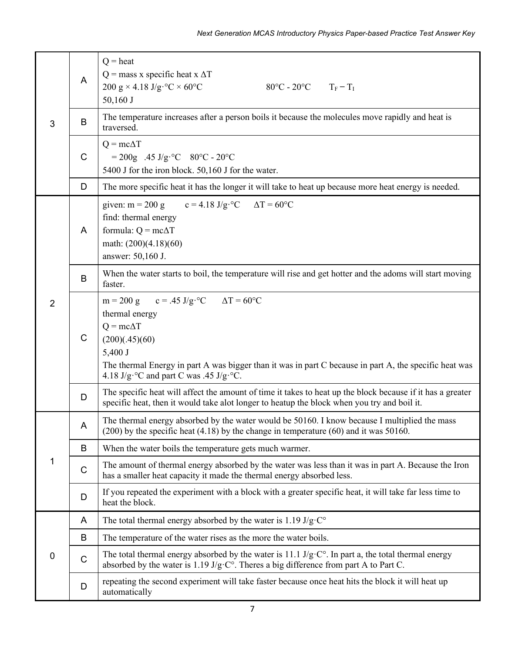|                |              | Next Generation MCAS Introductory Physics Paper-based Practice Test Answer Key                                                                                                                                                                                                                  |  |  |  |  |  |  |  |
|----------------|--------------|-------------------------------------------------------------------------------------------------------------------------------------------------------------------------------------------------------------------------------------------------------------------------------------------------|--|--|--|--|--|--|--|
| 3              | A            | $Q = heat$<br>$Q$ = mass x specific heat x $\Delta T$<br>200 g × 4.18 J/g·°C × 60°C<br>$80^{\circ}$ C - 20°C T <sub>F</sub> – T <sub>I</sub><br>50,160 J                                                                                                                                        |  |  |  |  |  |  |  |
|                | B            | The temperature increases after a person boils it because the molecules move rapidly and heat is<br>traversed.                                                                                                                                                                                  |  |  |  |  |  |  |  |
|                | $\mathsf C$  | $Q = mc\Delta T$<br>$= 200g$ .45 J/g <sup>o</sup> C 80 <sup>o</sup> C - 20 <sup>o</sup> C<br>5400 J for the iron block. 50,160 J for the water.                                                                                                                                                 |  |  |  |  |  |  |  |
|                | D            | The more specific heat it has the longer it will take to heat up because more heat energy is needed.                                                                                                                                                                                            |  |  |  |  |  |  |  |
|                | A            | $c = 4.18$ J/g·°C<br>given: $m = 200$ g<br>$\Delta T = 60$ °C<br>find: thermal energy<br>formula: $Q = mc\Delta T$<br>math: $(200)(4.18)(60)$<br>answer: 50,160 J.                                                                                                                              |  |  |  |  |  |  |  |
|                | B            | When the water starts to boil, the temperature will rise and get hotter and the adoms will start moving<br>faster.                                                                                                                                                                              |  |  |  |  |  |  |  |
| $\overline{2}$ | $\mathsf{C}$ | m = 200 g c = .45 J/g·°C $\Delta T = 60$ °C<br>thermal energy<br>$Q = mc\Delta T$<br>(200)(.45)(60)<br>5,400 J<br>The thermal Energy in part A was bigger than it was in part C because in part A, the specific heat was<br>4.18 J/g· $\rm ^{\circ}C$ and part C was .45 J/g· $\rm ^{\circ}C$ . |  |  |  |  |  |  |  |
|                | D            | The specific heat will affect the amount of time it takes to heat up the block because if it has a greater<br>specific heat, then it would take alot longer to heatup the block when you try and boil it.                                                                                       |  |  |  |  |  |  |  |
|                | A            | The thermal energy absorbed by the water would be 50160. I know because I multiplied the mass<br>$(200)$ by the specific heat $(4.18)$ by the change in temperature $(60)$ and it was 50160.                                                                                                    |  |  |  |  |  |  |  |
|                | B            | When the water boils the temperature gets much warmer.                                                                                                                                                                                                                                          |  |  |  |  |  |  |  |
| 1              | $\mathsf C$  | The amount of thermal energy absorbed by the water was less than it was in part A. Because the Iron<br>has a smaller heat capacity it made the thermal energy absorbed less.                                                                                                                    |  |  |  |  |  |  |  |
|                | D            | If you repeated the experiment with a block with a greater specific heat, it will take far less time to<br>heat the block.                                                                                                                                                                      |  |  |  |  |  |  |  |
|                | A            | The total thermal energy absorbed by the water is 1.19 $J/g \cdot C^{\circ}$                                                                                                                                                                                                                    |  |  |  |  |  |  |  |
|                | B            | The temperature of the water rises as the more the water boils.                                                                                                                                                                                                                                 |  |  |  |  |  |  |  |
| $\mathbf 0$    | $\mathsf C$  | The total thermal energy absorbed by the water is 11.1 $J/g \cdot C^{\circ}$ . In part a, the total thermal energy<br>absorbed by the water is $1.19 \text{ J/g} \cdot \text{C}^\circ$ . Theres a big difference from part A to Part C.                                                         |  |  |  |  |  |  |  |
|                | D            | repeating the second experiment will take faster because once heat hits the block it will heat up<br>automatically                                                                                                                                                                              |  |  |  |  |  |  |  |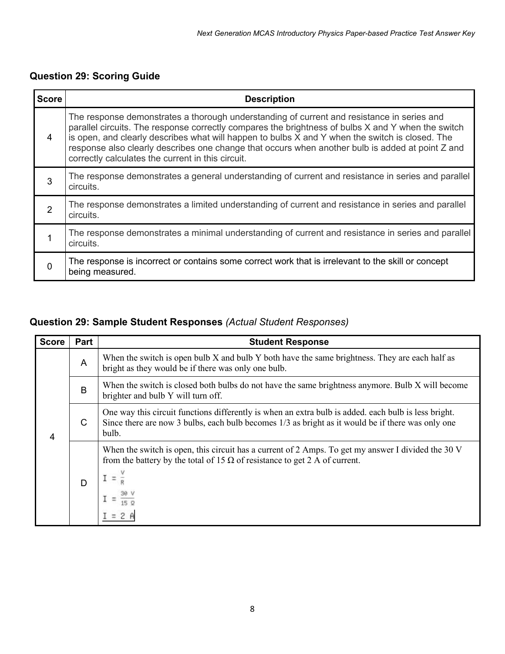# **Question 29: Scoring Guide**

|                |                                                                                                                                                                                                                                                                                                                                                                                                                                                              | Next Generation MCAS Introductory Physics Paper-based Practice Test Answer Key                                                                                                                                       |  |  |  |  |  |
|----------------|--------------------------------------------------------------------------------------------------------------------------------------------------------------------------------------------------------------------------------------------------------------------------------------------------------------------------------------------------------------------------------------------------------------------------------------------------------------|----------------------------------------------------------------------------------------------------------------------------------------------------------------------------------------------------------------------|--|--|--|--|--|
|                |                                                                                                                                                                                                                                                                                                                                                                                                                                                              | Question 29: Scoring Guide                                                                                                                                                                                           |  |  |  |  |  |
| <b>Score</b>   |                                                                                                                                                                                                                                                                                                                                                                                                                                                              | <b>Description</b>                                                                                                                                                                                                   |  |  |  |  |  |
| 4              | The response demonstrates a thorough understanding of current and resistance in series and<br>parallel circuits. The response correctly compares the brightness of bulbs X and Y when the switch<br>is open, and clearly describes what will happen to bulbs X and Y when the switch is closed. The<br>response also clearly describes one change that occurs when another bulb is added at point Z and<br>correctly calculates the current in this circuit. |                                                                                                                                                                                                                      |  |  |  |  |  |
| 3              | The response demonstrates a general understanding of current and resistance in series and parallel<br>circuits.                                                                                                                                                                                                                                                                                                                                              |                                                                                                                                                                                                                      |  |  |  |  |  |
| $\overline{2}$ | The response demonstrates a limited understanding of current and resistance in series and parallel<br>circuits.                                                                                                                                                                                                                                                                                                                                              |                                                                                                                                                                                                                      |  |  |  |  |  |
| 1              | circuits.                                                                                                                                                                                                                                                                                                                                                                                                                                                    | The response demonstrates a minimal understanding of current and resistance in series and parallel                                                                                                                   |  |  |  |  |  |
| $\mathbf 0$    | The response is incorrect or contains some correct work that is irrelevant to the skill or concept<br>being measured.                                                                                                                                                                                                                                                                                                                                        |                                                                                                                                                                                                                      |  |  |  |  |  |
|                |                                                                                                                                                                                                                                                                                                                                                                                                                                                              |                                                                                                                                                                                                                      |  |  |  |  |  |
|                |                                                                                                                                                                                                                                                                                                                                                                                                                                                              | Question 29: Sample Student Responses (Actual Student Responses)                                                                                                                                                     |  |  |  |  |  |
| <b>Score</b>   | Part                                                                                                                                                                                                                                                                                                                                                                                                                                                         | <b>Student Response</b>                                                                                                                                                                                              |  |  |  |  |  |
|                | A                                                                                                                                                                                                                                                                                                                                                                                                                                                            | When the switch is open bulb X and bulb Y both have the same brightness. They are each half as<br>bright as they would be if there was only one bulb.                                                                |  |  |  |  |  |
|                | B                                                                                                                                                                                                                                                                                                                                                                                                                                                            | When the switch is closed both bulbs do not have the same brightness anymore. Bulb X will become<br>brighter and bulb Y will turn off.                                                                               |  |  |  |  |  |
| 4              | C                                                                                                                                                                                                                                                                                                                                                                                                                                                            | One way this circuit functions differently is when an extra bulb is added. each bulb is less bright.<br>Since there are now 3 bulbs, each bulb becomes $1/3$ as bright as it would be if there was only one<br>bulb. |  |  |  |  |  |
|                |                                                                                                                                                                                                                                                                                                                                                                                                                                                              | When the switch is open, this circuit has a current of 2 Amps. To get my answer I divided the 30 V<br>from the battery by the total of 15 $\Omega$ of resistance to get 2 A of current.                              |  |  |  |  |  |

### **Question 29: Sample Student Responses** *(Actual Student Responses)*

| <b>Score</b> | Part | <b>Student Response</b>                                                                                                                                                                                            |
|--------------|------|--------------------------------------------------------------------------------------------------------------------------------------------------------------------------------------------------------------------|
| 4            | A    | When the switch is open bulb X and bulb Y both have the same brightness. They are each half as<br>bright as they would be if there was only one bulb.                                                              |
|              | B    | When the switch is closed both bulbs do not have the same brightness anymore. Bulb X will become<br>brighter and bulb Y will turn off.                                                                             |
|              | C    | One way this circuit functions differently is when an extra bulb is added, each bulb is less bright.<br>Since there are now 3 bulbs, each bulb becomes 1/3 as bright as it would be if there was only one<br>bulb. |
|              | D    | When the switch is open, this circuit has a current of 2 Amps. To get my answer I divided the 30 V<br>from the battery by the total of 15 $\Omega$ of resistance to get 2 A of current.                            |